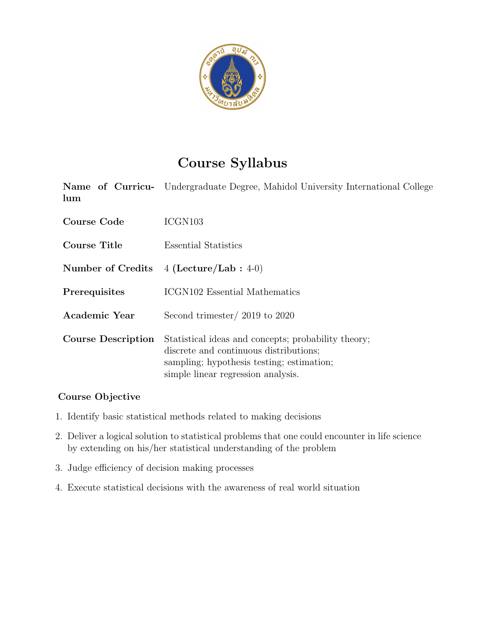

# Course Syllabus

Name of Curriculum Undergraduate Degree, Mahidol University International College

| Course Code               | ICGN <sub>103</sub>                                                                                                                                                              |
|---------------------------|----------------------------------------------------------------------------------------------------------------------------------------------------------------------------------|
| Course Title              | Essential Statistics                                                                                                                                                             |
| Number of Credits         | $4$ (Lecture/Lab : 4-0)                                                                                                                                                          |
| Prerequisites             | ICGN102 Essential Mathematics                                                                                                                                                    |
| Academic Year             | Second trimester/ $2019$ to $2020$                                                                                                                                               |
| <b>Course Description</b> | Statistical ideas and concepts; probability theory;<br>discrete and continuous distributions;<br>sampling; hypothesis testing; estimation;<br>simple linear regression analysis. |

### Course Objective

- 1. Identify basic statistical methods related to making decisions
- 2. Deliver a logical solution to statistical problems that one could encounter in life science by extending on his/her statistical understanding of the problem
- 3. Judge efficiency of decision making processes
- 4. Execute statistical decisions with the awareness of real world situation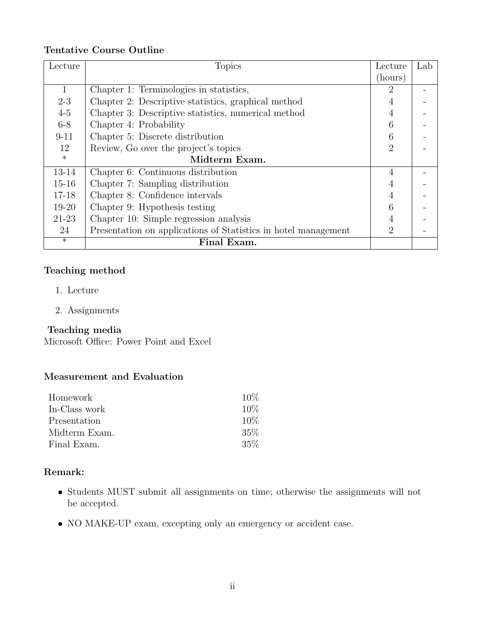#### Tentative Course Outline

| Lecture      | <b>Topics</b>                                                  | Lecture                     | Lab |
|--------------|----------------------------------------------------------------|-----------------------------|-----|
|              |                                                                | (hours)                     |     |
| $\mathbf{1}$ | Chapter 1: Terminologies in statistics,                        | 2                           |     |
| $2 - 3$      | Chapter 2: Descriptive statistics, graphical method            |                             |     |
| $4-5$        | Chapter 3: Descriptive statistics, numerical method            |                             |     |
| $6 - 8$      | Chapter 4: Probability                                         | 6                           |     |
| $9 - 11$     | Chapter 5: Discrete distribution                               |                             |     |
| 12           | Review, Go over the project's topics                           | $\mathcal{D}_{\mathcal{L}}$ |     |
| $\ast$       | Midterm Exam.                                                  |                             |     |
| 13-14        | Chapter 6: Continuous distribution                             | $\overline{4}$              |     |
| $15 - 16$    | Chapter 7: Sampling distribution                               |                             |     |
| $17 - 18$    | Chapter 8: Confidence intervals                                |                             |     |
| 19-20        | Chapter 9: Hypothesis testing                                  |                             |     |
| 21-23        | Chapter 10: Simple regression analysis                         |                             |     |
| 24           | Presentation on applications of Statistics in hotel management | 2                           |     |
| $\ast$       | Final Exam.                                                    |                             |     |

# Teaching method

- 1. Lecture
- 2. Assignments

### Teaching media

Microsoft Office: Power Point and Excel

# Measurement and Evaluation

| Homework      | $10\%$ |
|---------------|--------|
| In-Class work | 10%    |
| Presentation  | 10%    |
| Midterm Exam. | 35%    |
| Final Exam.   | 35\%   |

### Remark:

- Students MUST submit all assignments on time; otherwise the assignments will not be accepted.
- NO MAKE-UP exam, excepting only an emergency or accident case.